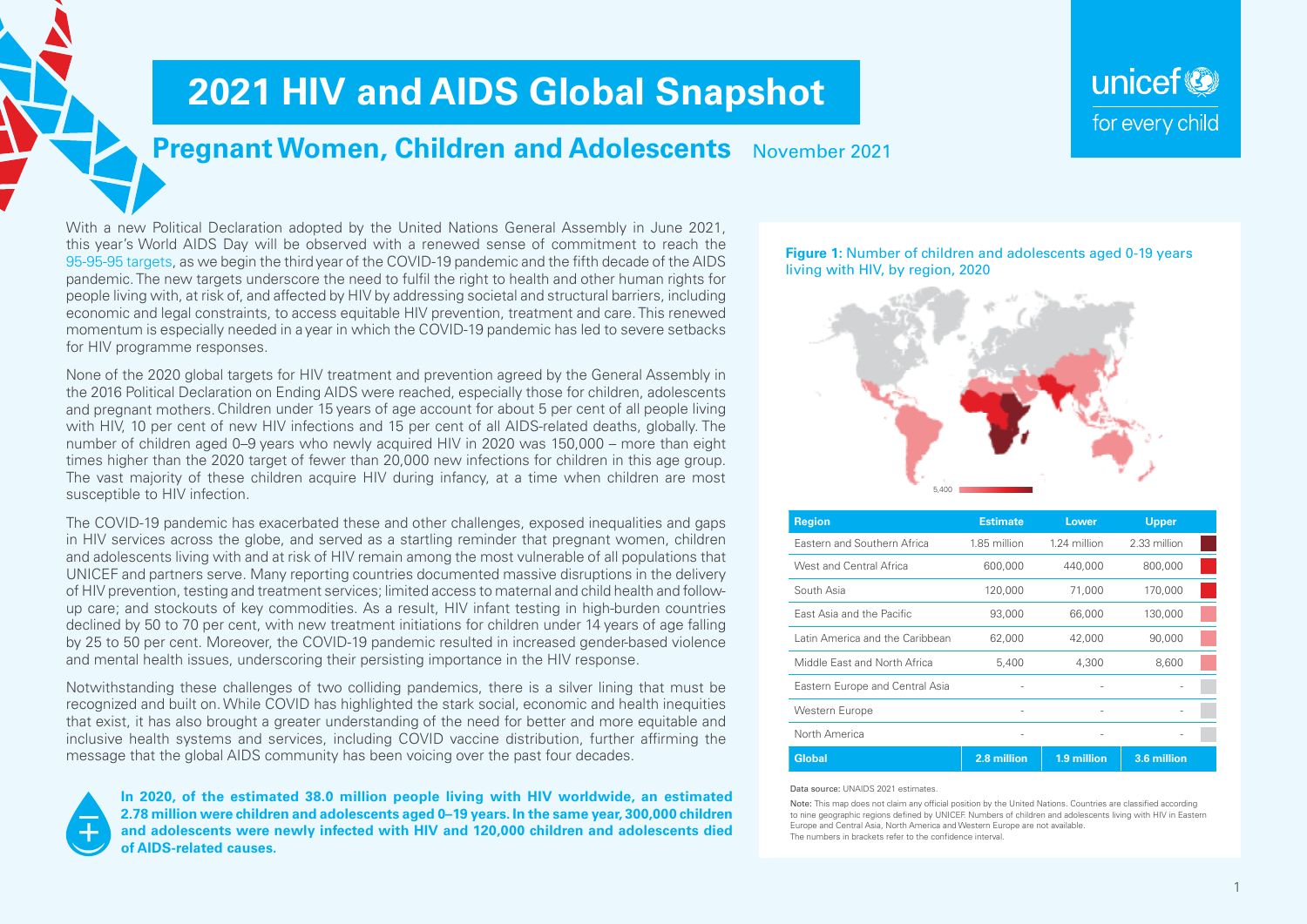# **2021 HIV and AIDS Global Snapshot**

## **Pregnant Women, Children and Adolescents** November 2021

With a new Political Declaration adopted by the United Nations General Assembly in June 2021, this year's World AIDS Day will be observed with a renewed sense of commitment to reach the [95-95-95 targets](https://aidstargets2025.unaids.org), as we begin the third year of the COVID-19 pandemic and the fifth decade of the AIDS pandemic. The new targets underscore the need to fulfil the right to health and other human rights for people living with, at risk of, and affected by HIV by addressing societal and structural barriers, including economic and legal constraints, to access equitable HIV prevention, treatment and care. This renewed momentum is especially needed in a year in which the COVID-19 pandemic has led to severe setbacks for HIV programme responses.

None of the 2020 global targets for HIV treatment and prevention agreed by the General Assembly in the 2016 Political Declaration on Ending AIDS were reached, especially those for children, adolescents and pregnant mothers.Children under 15 years of age account for about 5 per cent of all people living with HIV, 10 per cent of new HIV infections and 15 per cent of all AIDS-related deaths, globally. The number of children aged 0–9 years who newly acquired HIV in 2020 was 150,000 – more than eight times higher than the 2020 target of fewer than 20,000 new infections for children in this age group. The vast majority of these children acquire HIV during infancy, at a time when children are most susceptible to HIV infection.

The COVID-19 pandemic has exacerbated these and other challenges, exposed inequalities and gaps in HIV services across the globe, and served as a startling reminder that pregnant women, children and adolescents living with and at risk of HIV remain among the most vulnerable of all populations that UNICEF and partners serve. Many reporting countries documented massive disruptions in the delivery of HIV prevention, testing and treatment services; limited access to maternal and child health and followup care; and stockouts of key commodities. As a result, HIV infant testing in high-burden countries declined by 50 to 70 per cent, with new treatment initiations for children under 14 years of age falling by 25 to 50 per cent. Moreover, the COVID-19 pandemic resulted in increased gender-based violence and mental health issues, underscoring their persisting importance in the HIV response.

Notwithstanding these challenges of two colliding pandemics, there is a silver lining that must be recognized and built on. While COVID has highlighted the stark social, economic and health inequities that exist, it has also brought a greater understanding of the need for better and more equitable and inclusive health systems and services, including COVID vaccine distribution, further affirming the message that the global AIDS community has been voicing over the past four decades.

**In 2020, of the estimated 38.0 million people living with HIV worldwide, an estimated 2.78 million were children and adolescents aged 0–19 years. In the same year, 300,000 children and adolescents were newly infected with HIV and 120,000 children and adolescents died of AIDS-related causes.** 

#### **Figure 1:** Number of children and adolescents aged 0-19 years living with HIV, by region, 2020

unicef<sup>®</sup>

for every child



| Region                          | <b>Estimate</b> | Lower        | <b>Upper</b> |
|---------------------------------|-----------------|--------------|--------------|
| Eastern and Southern Africa     | 1.85 million    | 1.24 million | 2.33 million |
| West and Central Africa         | 600,000         | 440,000      | 800,000      |
| South Asia                      | 120,000         | 71,000       | 170,000      |
| East Asia and the Pacific       | 93,000          | 66,000       | 130,000      |
| Latin America and the Caribbean | 62,000          | 42,000       | 90,000       |
| Middle East and North Africa    | 5,400           | 4,300        | 8,600        |
| Eastern Europe and Central Asia |                 |              |              |
| Western Europe                  | ۰               | -            |              |
| North America                   | ۰               | ٠            | -            |
| <b>Global</b>                   | 2.8 million     | 1.9 million  | 3.6 million  |

#### Data source: UNAIDS 2021 estimates.

Note: This map does not claim any official position by the United Nations. Countries are classified according to nine geographic regions defined by UNICEF. Numbers of children and adolescents living with HIV in Eastern Europe and Central Asia, North America and Western Europe are not available. The numbers in brackets refer to the confidence interval.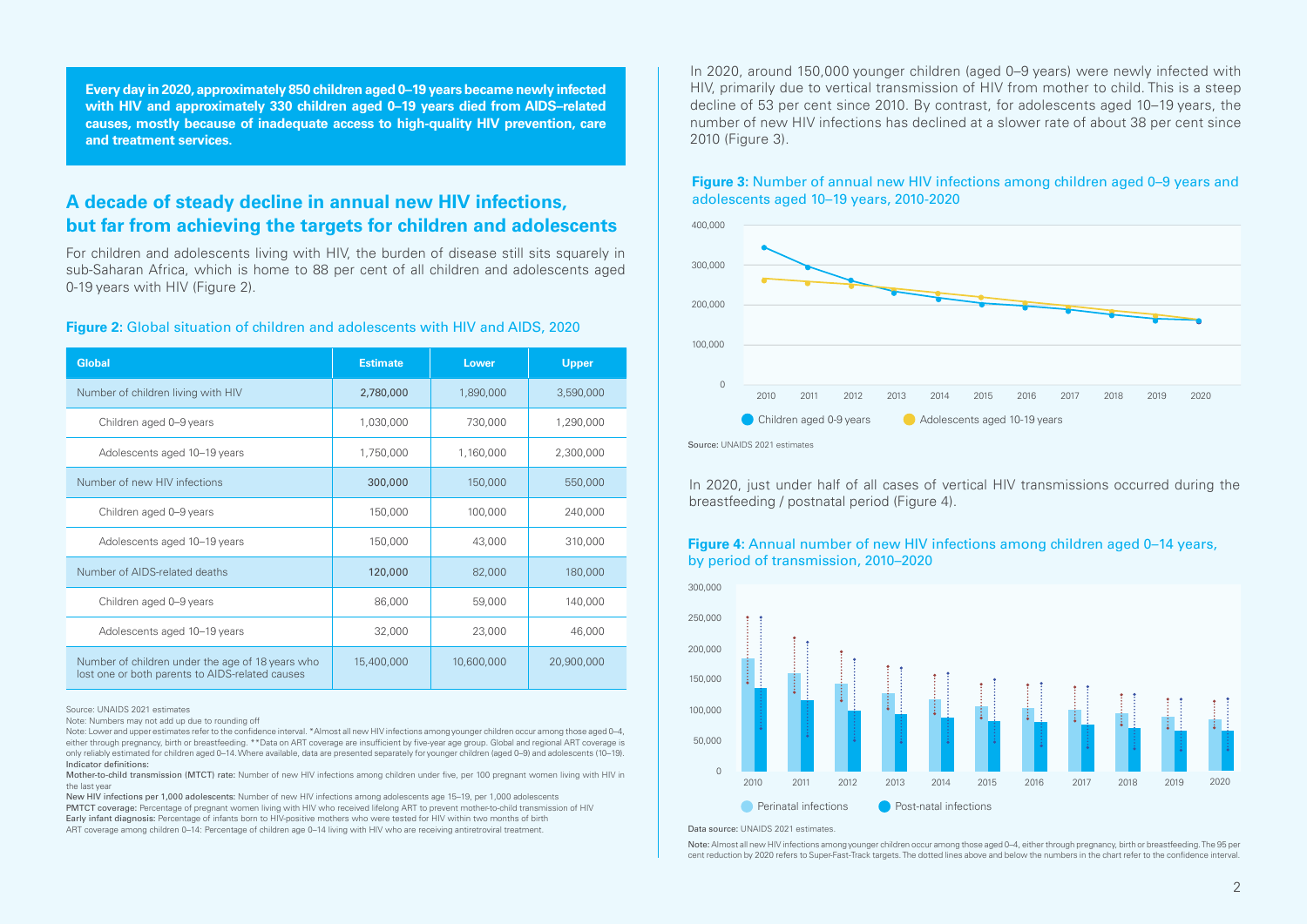**Every day in 2020, approximately 850 children aged 0–19 years became newly infected with HIV and approximately 330 children aged 0–19 years died from AIDS–related causes, mostly because of inadequate access to high-quality HIV prevention, care and treatment services.**

### **A decade of steady decline in annual new HIV infections, but far from achieving the targets for children and adolescents**

For children and adolescents living with HIV, the burden of disease still sits squarely in sub-Saharan Africa, which is home to 88 per cent of all children and adolescents aged 0-19 years with HIV (Figure 2).

#### **Figure 2:** Global situation of children and adolescents with HIV and AIDS, 2020

| <b>Global</b>                                                                                       | <b>Estimate</b> | <b>Lower</b> | <b>Upper</b> |
|-----------------------------------------------------------------------------------------------------|-----------------|--------------|--------------|
| Number of children living with HIV                                                                  | 2,780,000       | 1,890,000    | 3,590,000    |
| Children aged 0-9 years                                                                             | 1,030,000       | 730,000      | 1,290,000    |
| Adolescents aged 10-19 years                                                                        | 1,750,000       | 1,160,000    | 2,300,000    |
| Number of new HIV infections                                                                        | 300,000         | 150,000      | 550,000      |
| Children aged 0-9 years                                                                             | 150,000         | 100,000      | 240,000      |
| Adolescents aged 10-19 years                                                                        | 150,000         | 43,000       | 310,000      |
| Number of AIDS-related deaths                                                                       | 120,000         | 82,000       | 180,000      |
| Children aged 0-9 years                                                                             | 86,000          | 59,000       | 140,000      |
| Adolescents aged 10-19 years                                                                        | 32,000          | 23,000       | 46,000       |
| Number of children under the age of 18 years who<br>lost one or both parents to AIDS-related causes | 15,400,000      | 10,600,000   | 20,900,000   |

Source: UNAIDS 2021 estimates

Note: Numbers may not add up due to rounding off

Note: Lower and upper estimates refer to the confidence interval. \*Almost all new HIV infections among younger children occur among those aged 0–4, either through pregnancy, birth or breastfeeding. \*\*Data on ART coverage are insufficient by five-year age group. Global and regional ART coverage is only reliably estimated for children aged 0–14. Where available, data are presented separately for younger children (aged 0–9) and adolescents (10–19). Indicator definitions:

Mother-to-child transmission (MTCT) rate: Number of new HIV infections among children under five, per 100 pregnant women living with HIV in the last year

New HIV infections per 1,000 adolescents: Number of new HIV infections among adolescents age 15–19, per 1,000 adolescents PMTCT coverage: Percentage of pregnant women living with HIV who received lifelong ART to prevent mother-to-child transmission of HIV Early infant diagnosis: Percentage of infants born to HIV-positive mothers who were tested for HIV within two months of birth ART coverage among children 0–14: Percentage of children age 0–14 living with HIV who are receiving antiretroviral treatment.

In 2020, around 150,000 younger children (aged 0–9 years) were newly infected with HIV, primarily due to vertical transmission of HIV from mother to child. This is a steep decline of 53 per cent since 2010. By contrast, for adolescents aged 10–19 years, the number of new HIV infections has declined at a slower rate of about 38 per cent since 2010 (Figure 3).



#### **Figure 3:** Number of annual new HIV infections among children aged 0–9 years and adolescents aged 10–19 years, 2010-2020

Source: UNAIDS 2021 estimates

In 2020, just under half of all cases of vertical HIV transmissions occurred during the breastfeeding / postnatal period (Figure 4).

#### **Figure 4:** Annual number of new HIV infections among children aged 0–14 years, by period of transmission, 2010–2020



Data source: UNAIDS 2021 estimates.

Note: Almost all new HIV infections among younger children occur among those aged 0–4, either through pregnancy, birth or breastfeeding. The 95 per cent reduction by 2020 refers to Super-Fast-Track targets. The dotted lines above and below the numbers in the chart refer to the confidence interval.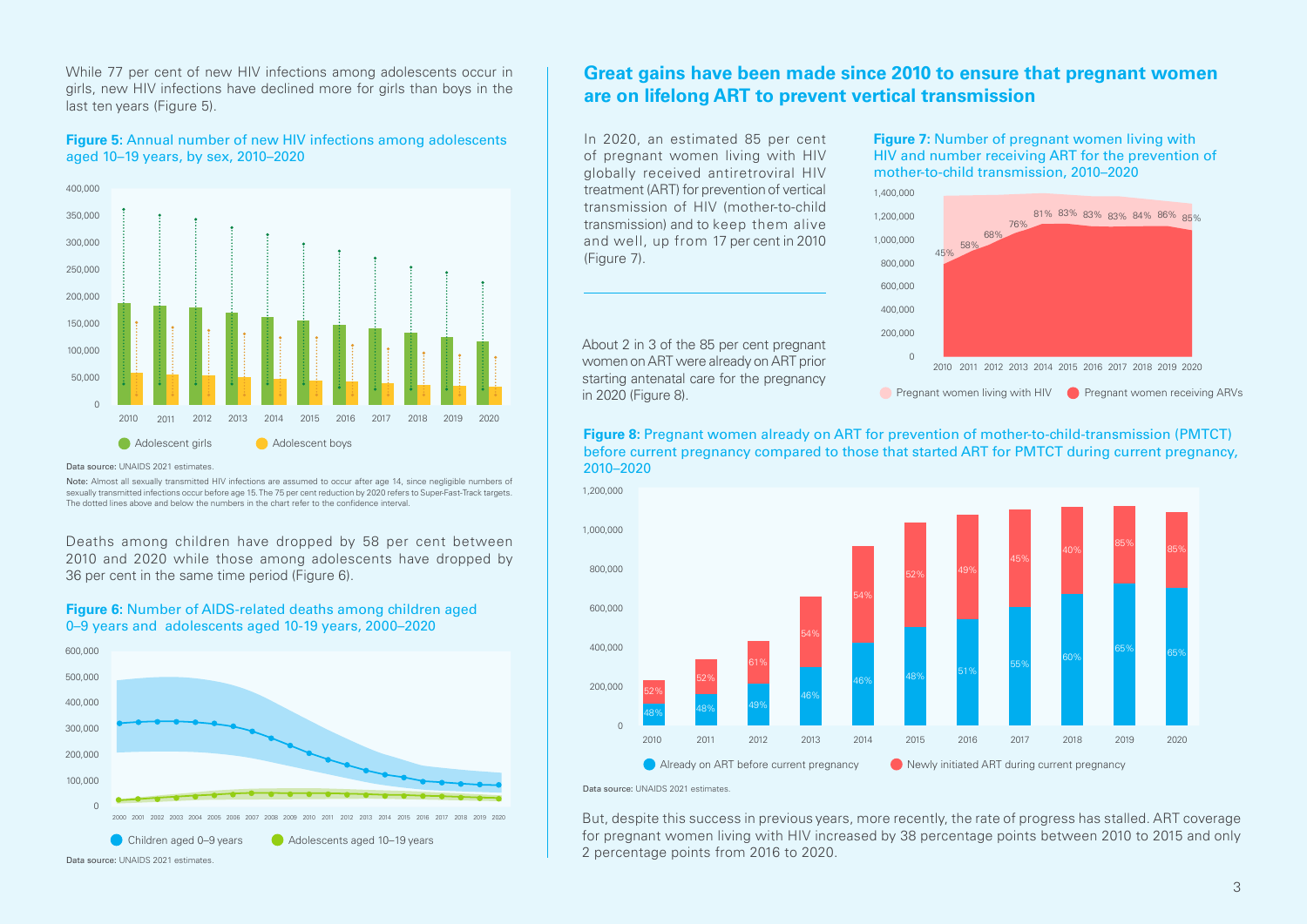While 77 per cent of new HIV infections among adolescents occur in girls, new HIV infections have declined more for girls than boys in the last ten years (Figure 5).

**Figure 5:** Annual number of new HIV infections among adolescents aged 10–19 years, by sex, 2010–2020



Data source: UNAIDS 2021 estimates.

Note: Almost all sexually transmitted HIV infections are assumed to occur after age 14, since negligible numbers of sexually transmitted infections occur before age 15. The 75 per cent reduction by 2020 refers to Super-Fast-Track targets. The dotted lines above and below the numbers in the chart refer to the confidence interval.

Deaths among children have dropped by 58 per cent between 2010 and 2020 while those among adolescents have dropped by 36 per cent in the same time period (Figure 6).



**Figure 6:** Number of AIDS-related deaths among children aged 0–9 years and adolescents aged 10-19 years, 2000–2020

### **Great gains have been made since 2010 to ensure that pregnant women are on lifelong ART to prevent vertical transmission**

In 2020, an estimated 85 per cent of pregnant women living with HIV globally received antiretroviral HIV treatment (ART) for prevention of vertical transmission of HIV (mother-to-child transmission) and to keep them alive and well, up from 17 per cent in 2010 (Figure 7).

About 2 in 3 of the 85 per cent pregnant women on ART were already on ART prior starting antenatal care for the pregnancy in 2020 (Figure 8).

**Figure 7:** Number of pregnant women living with HIV and number receiving ART for the prevention of mother-to-child transmission, 2010–2020



**C** Pregnant women living with HIV **C** Pregnant women receiving ARVs

**Figure 8:** Pregnant women already on ART for prevention of mother-to-child-transmission (PMTCT) before current pregnancy compared to those that started ART for PMTCT during current pregnancy, 2010–2020



Data source: UNAIDS 2021 estimates.

But, despite this success in previous years, more recently, the rate of progress has stalled. ART coverage for pregnant women living with HIV increased by 38 percentage points between 2010 to 2015 and only 2 percentage points from 2016 to 2020.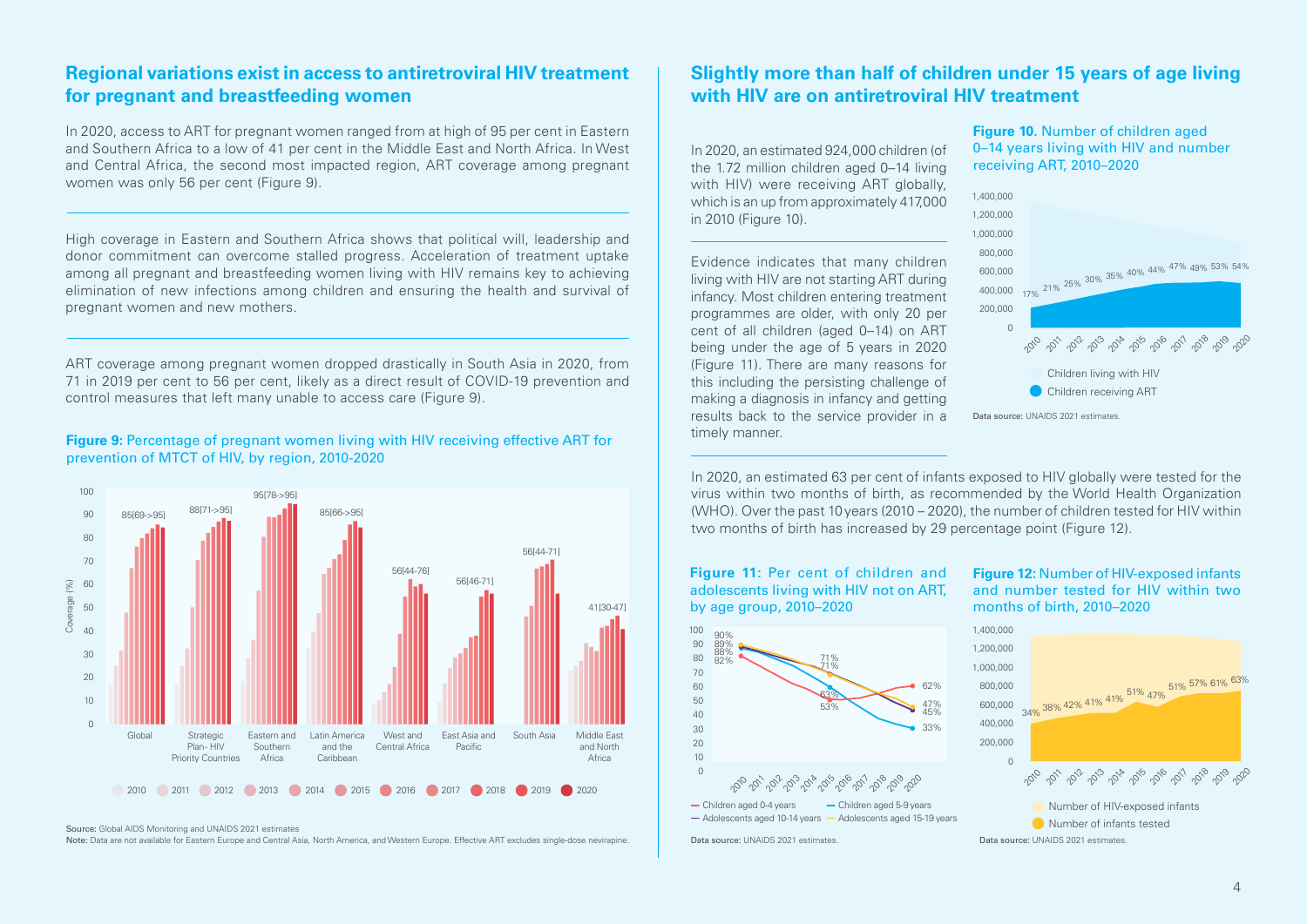### **Regional variations exist in access to antiretroviral HIV treatment for pregnant and breastfeeding women**

In 2020, access to ART for pregnant women ranged from at high of 95 per cent in Eastern and Southern Africa to a low of 41 per cent in the Middle East and North Africa. In West and Central Africa, the second most impacted region, ART coverage among pregnant women was only 56 per cent (Figure 9).

High coverage in Eastern and Southern Africa shows that political will, leadership and donor commitment can overcome stalled progress. Acceleration of treatment uptake among all pregnant and breastfeeding women living with HIV remains key to achieving elimination of new infections among children and ensuring the health and survival of pregnant women and new mothers.

ART coverage among pregnant women dropped drastically in South Asia in 2020, from 71 in 2019 per cent to 56 per cent, likely as a direct result of COVID-19 prevention and control measures that left many unable to access care (Figure 9).

### **Figure 9:** Percentage of pregnant women living with HIV receiving effective ART for **Figure 9:** Percentage of pregnant women living with HIV receiving effective ART for prevention of MTCT of HIV, by region, 2010-2020



Source: Global AIDS Monitoring and UNAIDS 2021 estimates

Note: Data are not available for Eastern Europe and Central Asia, North America, and Western Europe. Effective ART excludes single-dose nevirapine.

### **Slightly more than half of children under 15 years of age living with HIV are on antiretroviral HIV treatment**

In 2020, an estimated 924,000 children (of the 1.72 million children aged 0–14 living with HIV) were receiving ART globally, which is an up from approximately 417,000 in 2010 (Figure 10).

Evidence indicates that many children living with HIV are not starting ART during infancy. Most children entering treatment programmes are older, with only 20 per cent of all children (aged 0–14) on ART being under the age of 5 years in 2020 (Figure 11). There are many reasons for this including the persisting challenge of making a diagnosis in infancy and getting results back to the service provider in a **Figure 10.** Number of children aged 0–14 years living with HIV and number receiving ART, 2010–2020



In 2020, an estimated 63 per cent of infants exposed to HIV globally were tested for the virus within two months of birth, as recommended by the World Health Organization (WHO). Over the past 10 years (2010 – 2020), the number of children tested for HIV within two months of birth has increased by 29 percentage point (Figure 12).



- Children aged 0-4 years - Children aged 5-9 years  $-\text{Adolescents}$  aged 10-14 years  $-\text{Adolescents}$  aged 15-19 years **Figure 12:** Number of HIV-exposed infants and number tested for HIV within two months of birth, 2010–2020

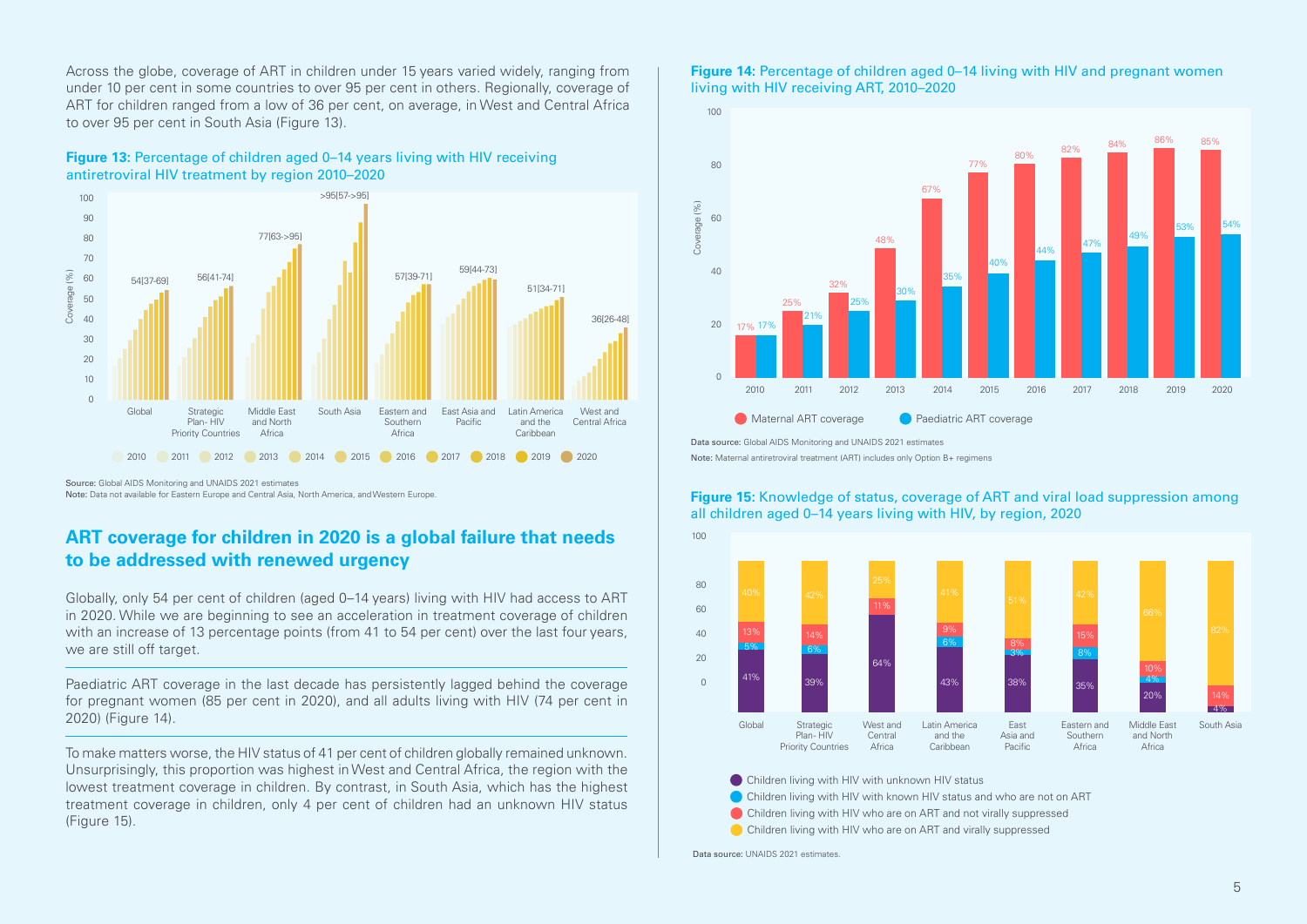Across the globe, coverage of ART in children under 15 years varied widely, ranging from under 10 per cent in some countries to over 95 per cent in others. Regionally, coverage of ART for children ranged from a low of 36 per cent, on average, in West and Central Africa to over 95 per cent in South Asia (Figure 13).





Source: Global AIDS Monitoring and UNAIDS 2021 estimates Note: Data not available for Eastern Europe and Central Asia, North America, and Western Europe.

### **ART coverage for children in 2020 is a global failure that needs to be addressed with renewed urgency**

Globally, only 54 per cent of children (aged 0–14 years) living with HIV had access to ART in 2020. While we are beginning to see an acceleration in treatment coverage of children with an increase of 13 percentage points (from 41 to 54 per cent) over the last four years, we are still off target.

Paediatric ART coverage in the last decade has persistently lagged behind the coverage for pregnant women (85 per cent in 2020), and all adults living with HIV (74 per cent in 2020) (Figure 14).

To make matters worse, the HIV status of 41 per cent of children globally remained unknown. Unsurprisingly, this proportion was highest in West and Central Africa, the region with the lowest treatment coverage in children. By contrast, in South Asia, which has the highest treatment coverage in children, only 4 per cent of children had an unknown HIV status (Figure 15).

#### **Figure 14:** Percentage of children aged 0–14 living with HIV and pregnant women living with HIV receiving ART, 2010–2020



Data source: Global AIDS Monitoring and UNAIDS 2021 estimates

Note: Maternal antiretroviral treatment (ART) includes only Option B+ regimens



#### **Figure 15:** Knowledge of status, coverage of ART and viral load suppression among all children aged 0–14 years living with HIV, by region, 2020

Children living with HIV with unknown HIV status

- Children living with HIV with known HIV status and who are not on ART
- Children living with HIV who are on ART and not virally suppressed
- Children living with HIV who are on ART and virally suppressed

Data source: UNAIDS 2021 estimates.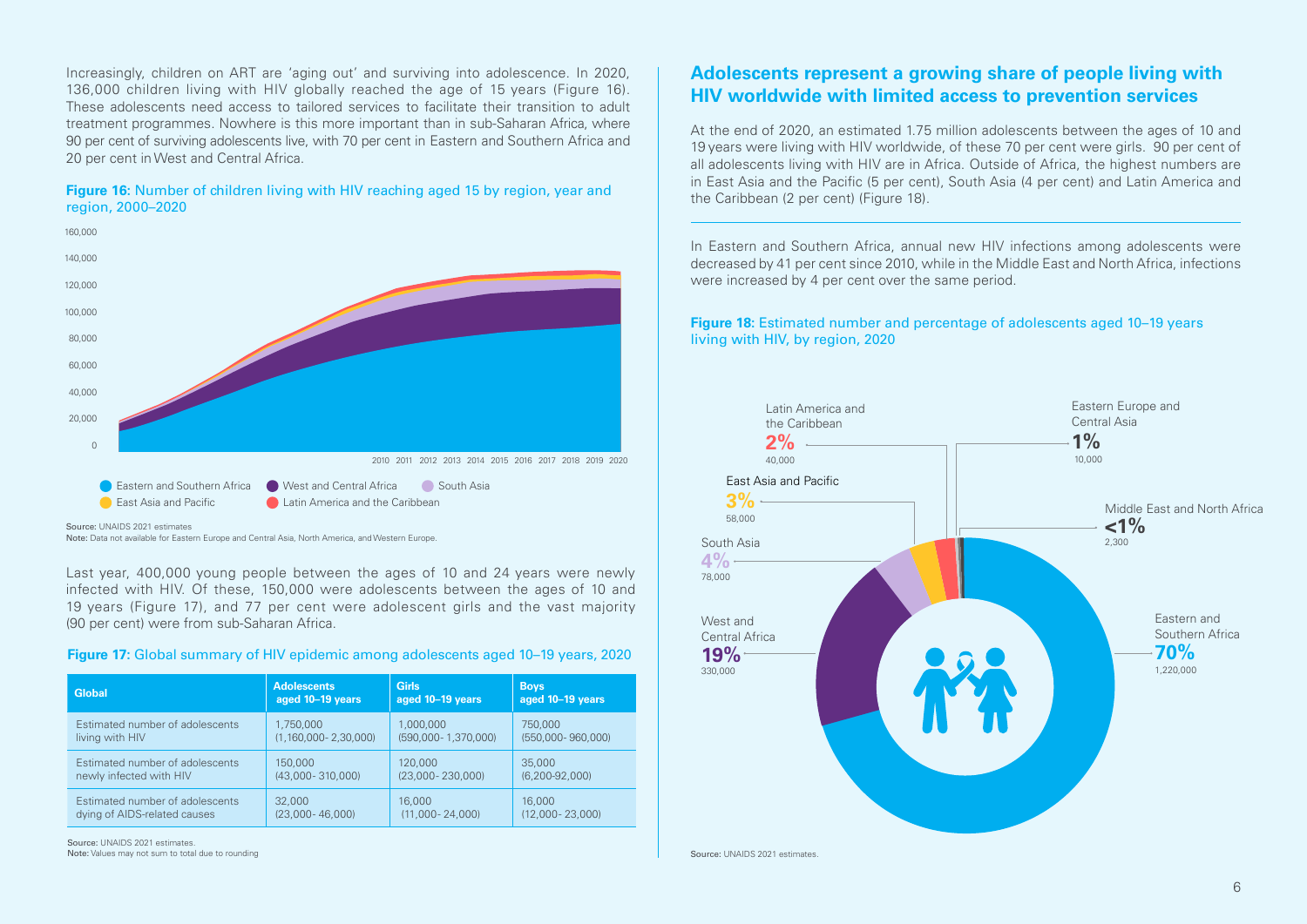Increasingly, children on ART are 'aging out' and surviving into adolescence. In 2020, 136,000 children living with HIV globally reached the age of 15 years (Figure 16). These adolescents need access to tailored services to facilitate their transition to adult treatment programmes. Nowhere is this more important than in sub-Saharan Africa, where 90 per cent of surviving adolescents live, with 70 per cent in Eastern and Southern Africa and 20 per cent in West and Central Africa.

#### **Figure 16:** Number of children living with HIV reaching aged 15 by region, year and region, 2000–2020



Source: UNAIDS 2021 estimates

Note: Data not available for Eastern Europe and Central Asia, North America, and Western Europe.

Last year, 400,000 young people between the ages of 10 and 24 years were newly infected with HIV. Of these, 150,000 were adolescents between the ages of 10 and 19 years (Figure 17), and 77 per cent were adolescent girls and the vast majority (90 per cent) were from sub-Saharan Africa.

#### **Figure 17:** Global summary of HIV epidemic among adolescents aged 10–19 years, 2020

| <b>Global</b>                   | <b>Adolescents</b>           | <b>Girls</b>         | <b>Boys</b>           |
|---------------------------------|------------------------------|----------------------|-----------------------|
|                                 | aged 10-19 years             | aged 10-19 years     | aged 10-19 years      |
| Estimated number of adolescents | 1,750,000                    | 1,000,000            | 750,000               |
| living with HIV                 | $(1, 160, 000 - 2, 30, 000)$ | (590,000-1,370,000)  | $(550,000 - 960,000)$ |
| Estimated number of adolescents | 150,000                      | 120,000              | 35,000                |
| newly infected with HIV         | $(43,000 - 310,000)$         | $(23,000 - 230,000)$ | $(6, 200 - 92, 000)$  |
| Estimated number of adolescents | 32,000                       | 16,000               | 16,000                |
| dying of AIDS-related causes    | $(23,000 - 46,000)$          | $(11,000 - 24,000)$  | $(12,000 - 23,000)$   |

Source: UNAIDS 2021 estimates. Note: Values may not sum to total due to rounding

### **Adolescents represent a growing share of people living with HIV worldwide with limited access to prevention services**

At the end of 2020, an estimated 1.75 million adolescents between the ages of 10 and 19 years were living with HIV worldwide, of these 70 per cent were girls. 90 per cent of all adolescents living with HIV are in Africa. Outside of Africa, the highest numbers are in East Asia and the Pacific (5 per cent), South Asia (4 per cent) and Latin America and the Caribbean (2 per cent) (Figure 18).

In Eastern and Southern Africa, annual new HIV infections among adolescents were decreased by 41 per cent since 2010, while in the Middle East and North Africa, infections were increased by 4 per cent over the same period.

**Figure 18:** Estimated number and percentage of adolescents aged 10–19 years living with HIV, by region, 2020

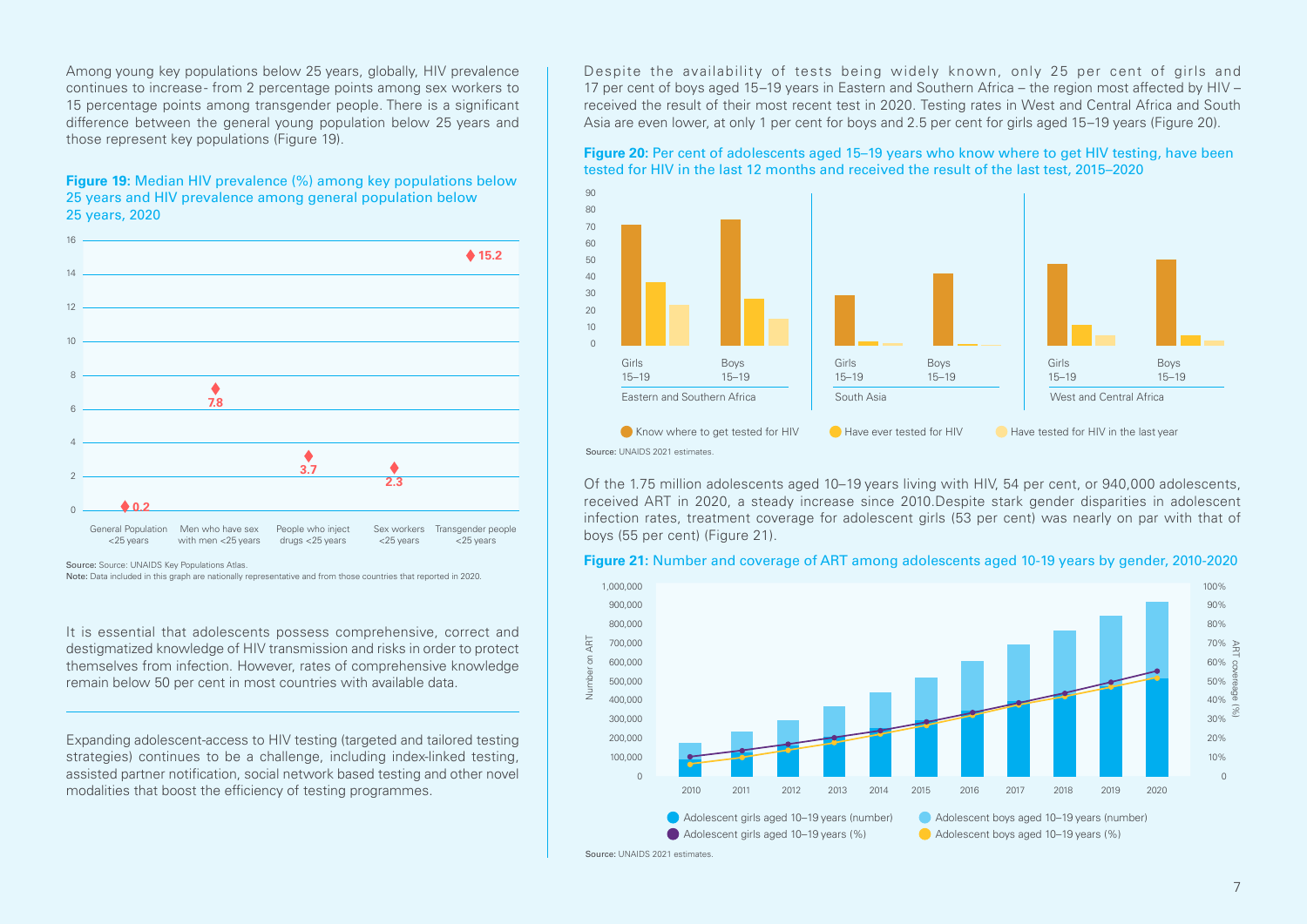Among young key populations below 25 years, globally, HIV prevalence continues to increase - from 2 percentage points among sex workers to 15 percentage points among transgender people. There is a significant difference between the general young population below 25 years and those represent key populations (Figure 19).

#### **Figure 19:** Median HIV prevalence (%) among key populations below 25 years and HIV prevalence among general population below 25 years, 2020



Source: Source: UNAIDS Key Populations Atlas.

Note: Data included in this graph are nationally representative and from those countries that reported in 2020.

It is essential that adolescents possess comprehensive, correct and destigmatized knowledge of HIV transmission and risks in order to protect themselves from infection. However, rates of comprehensive knowledge remain below 50 per cent in most countries with available data.

Expanding adolescent-access to HIV testing (targeted and tailored testing strategies) continues to be a challenge, including index-linked testing, assisted partner notification, social network based testing and other novel modalities that boost the efficiency of testing programmes.

Despite the availability of tests being widely known, only 25 per cent of girls and 17 per cent of boys aged 15–19 years in Eastern and Southern Africa – the region most affected by HIV – received the result of their most recent test in 2020. Testing rates in West and Central Africa and South Asia are even lower, at only 1 per cent for boys and 2.5 per cent for girls aged 15–19 years (Figure 20).

#### **Figure 20:** Per cent of adolescents aged 15–19 years who know where to get HIV testing, have been tested for HIV in the last 12 months and received the result of the last test, 2015–2020



Of the 1.75 million adolescents aged 10–19 years living with HIV, 54 per cent, or 940,000 adolescents, received ART in 2020, a steady increase since 2010.Despite stark gender disparities in adolescent infection rates, treatment coverage for adolescent girls (53 per cent) was nearly on par with that of boys (55 per cent) (Figure 21).

#### **Figure 21:** Number and coverage of ART among adolescents aged 10-19 years by gender, 2010-2020



Source: UNAIDS 2021 estimates.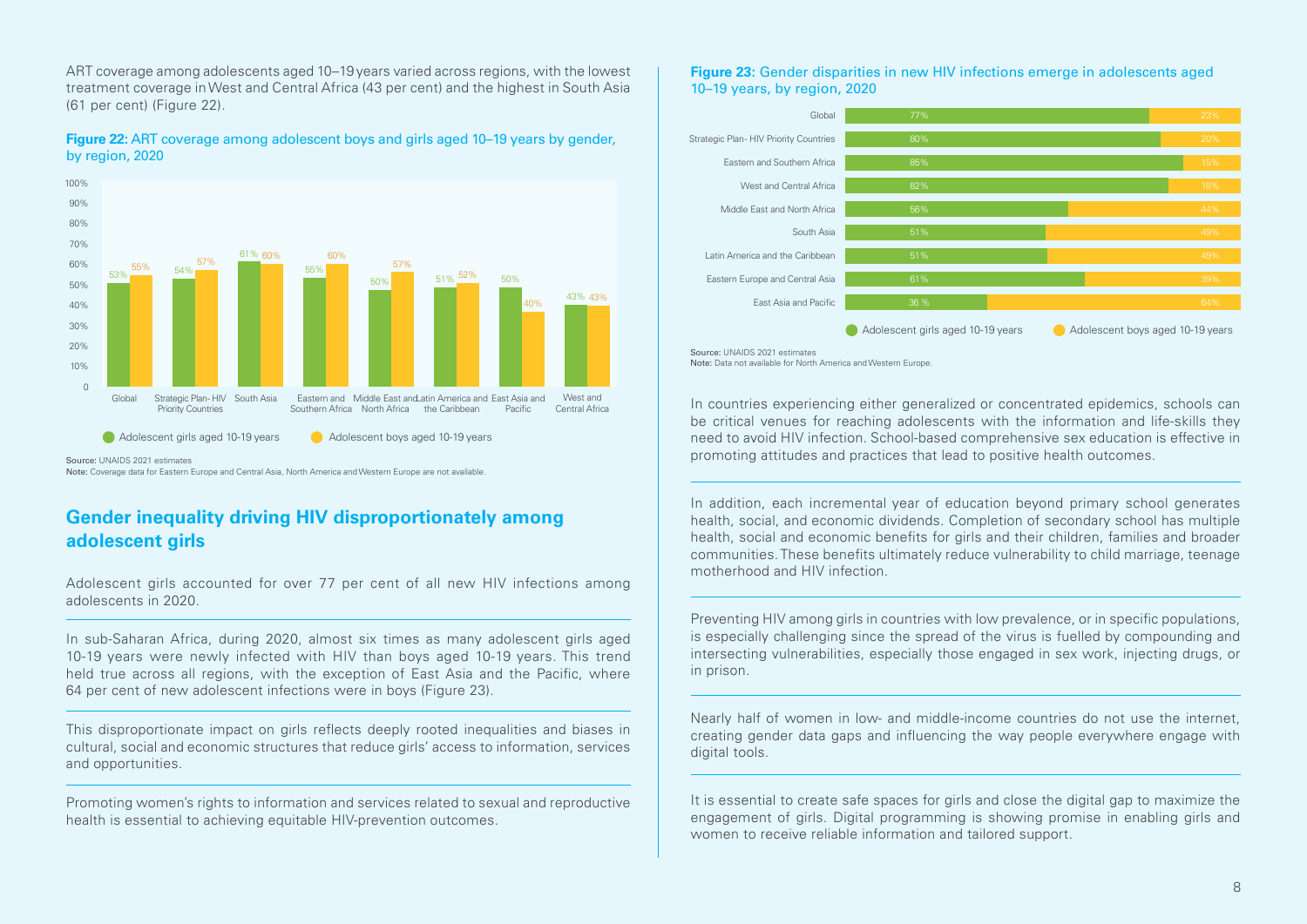ART coverage among adolescents aged 10–19 years varied across regions, with the lowest treatment coverage in West and Central Africa (43 per cent) and the highest in South Asia (61 per cent) (Figure 22).

**Figure 22:** ART coverage among adolescent boys and girls aged 10–19 years by gender, by region, 2020



Source: UNAIDS 2021 estimates

Note: Coverage data for Eastern Europe and Central Asia, North America and Western Europe are not available.

### **Gender inequality driving HIV disproportionately among adolescent girls**

Adolescent girls accounted for over 77 per cent of all new HIV infections among adolescents in 2020.

In sub-Saharan Africa, during 2020, almost six times as many adolescent girls aged 10-19 years were newly infected with HIV than boys aged 10-19 years. This trend held true across all regions, with the exception of East Asia and the Pacific, where 64 per cent of new adolescent infections were in boys (Figure 23).

This disproportionate impact on girls reflects deeply rooted inequalities and biases in cultural, social and economic structures that reduce girls' access to information, services and opportunities.

Promoting women's rights to information and services related to sexual and reproductive health is essential to achieving equitable HIV-prevention outcomes.

#### **Figure 23:** Gender disparities in new HIV infections emerge in adolescents aged 10–19 years, by region, 2020



Source: UNAIDS 2021 estimates Note: Data not available for North America and Western Europe.

In countries experiencing either generalized or concentrated epidemics, schools can be critical venues for reaching adolescents with the information and life-skills they need to avoid HIV infection. School-based comprehensive sex education is effective in promoting attitudes and practices that lead to positive health outcomes.

In addition, each incremental year of education beyond primary school generates health, social, and economic dividends. Completion of secondary school has multiple health, social and economic benefits for girls and their children, families and broader communities. These benefits ultimately reduce vulnerability to child marriage, teenage motherhood and HIV infection.

Preventing HIV among girls in countries with low prevalence, or in specific populations, is especially challenging since the spread of the virus is fuelled by compounding and intersecting vulnerabilities, especially those engaged in sex work, injecting drugs, or in prison.

Nearly half of women in low- and middle-income countries do not use the internet, creating gender data gaps and influencing the way people everywhere engage with digital tools.

It is essential to create safe spaces for girls and close the digital gap to maximize the engagement of girls. Digital programming is showing promise in enabling girls and women to receive reliable information and tailored support.